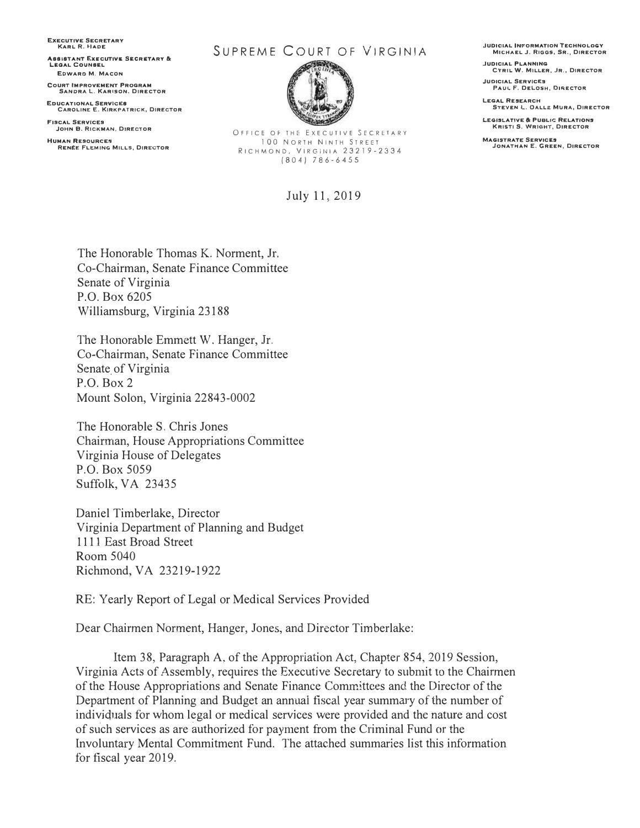**EXECUTIVE SECRETARY** 

**ASSISTANT EXECUTIVE SECRETARY & LEGAL COUNSEL EDWARD M. MACON** 

**COURT IMPROVEMENT PROGRAM SANDRA L. KARISON, DIRECTOR** 

**EDUCATIONAL SERVICES CAROLINE E. KIRKPATRICK, DIRECTOR** 

**FISCAL SERVICES JOHN B. RICKMAN, DIRECTOR HUMAN RESOURCES** 

**RENÉF FLEMING MILLS, DIRECTOR** 

## SUPREME COURT OF VIRGINIA



OFFICE OF THE EXECUTIVE SECRETARY 100 NORTH NINTH STREET RICHMOND, VIRGINIA 23219-2334 (804) 786-6455

July 11, 2019

**JUDICIAL INFORMATION TECHNOLOGY MICHAEL J, RIGGS, SR., DIRECTOR** 

**JUDICIAL PLANNING CYRIL W. MILLER, JR,, DIRECTOR** 

**JUDICIAL SERVICES PAUL. F. DELOSH, DIRECTOR** 

**LEGAL RESEARCH** 

**STEVEN L. OALLE MURA, DIRECTOR LEGISLAT!VE & PUBLIC RELATIONS** 

**KRISTI S, WRIGHT, DIRECTOR** 

**MACISTRATE SERVICES JONATHAN E. GREEN, DIRECTOR** 

The Honorable Thomas K. Norment, Jr, Co-Chairman, Senate Finance Committee Senate of Virginia P.O. Box 6205 Williamsburg, Virginia 23188

The Honorable Emmett W. Hanger, Jr. Co-Chairman, Senate Finance Committee Senate of Virginia P.O. Box 2 Mount Solon, Virginia 22843-0002

The Honorable S, Chris Jones Chairman, House Appropriations Committee Virginia House of Delegates P.O. Box 5059 Suffolk, VA 23435

Daniel Timberlake, Director Virginia Department of Planning and Budget 1111 East Broad Street Room 5040 Richmond, VA 23219-1922

RE: Yearly Report of Legal or Medical Services Provided

Dear Chairmen Norment, Hanger, Jones, and Director Timberlake:

Item 38, Paragraph A, of the Appropriation Act, Chapter 854, 2019 Session, Virginia Acts of Assembly, requires the Executive Secretary to submit to the Chairmen of the House Appropriations and Senate Finance Committees and the Director of the Department of Planning and Budget an annuai fiscal year summa<sup>r</sup>y of the number of indiviquals for whom legal or medical services were provided and the nature and cost of such services as are authorized for payment from the Criminal Fund or the Involuntary Mental Commitment Fund. The attached summaries list this information for fiscal year 2019.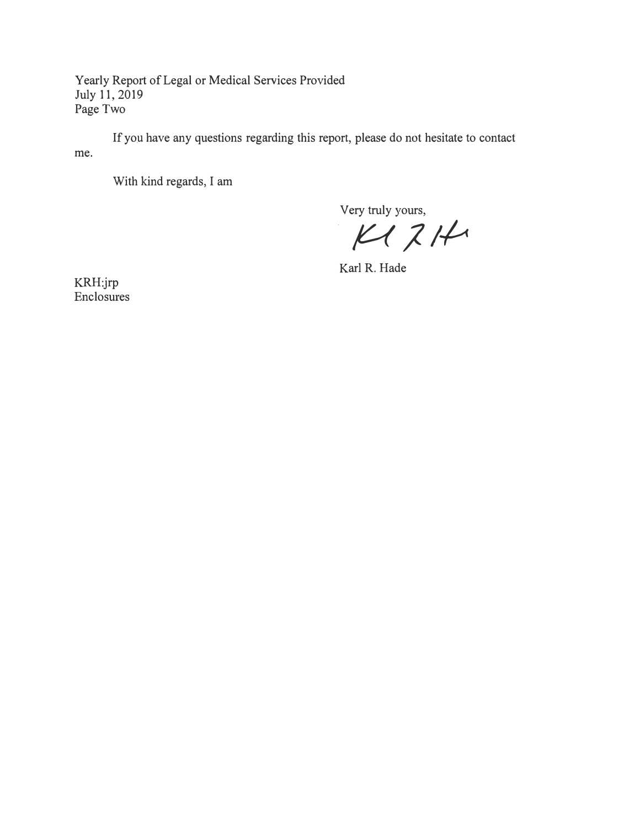Yearly Report of Legal or Medical Services Provided July 11, 2019 Page Two

If you have any questions regarding this report, please do not hesitate to contact me.

With kind regards, I am

Very truly yours,

*·µ71�*

Karl R. Hade

KRH:jrp Enclosures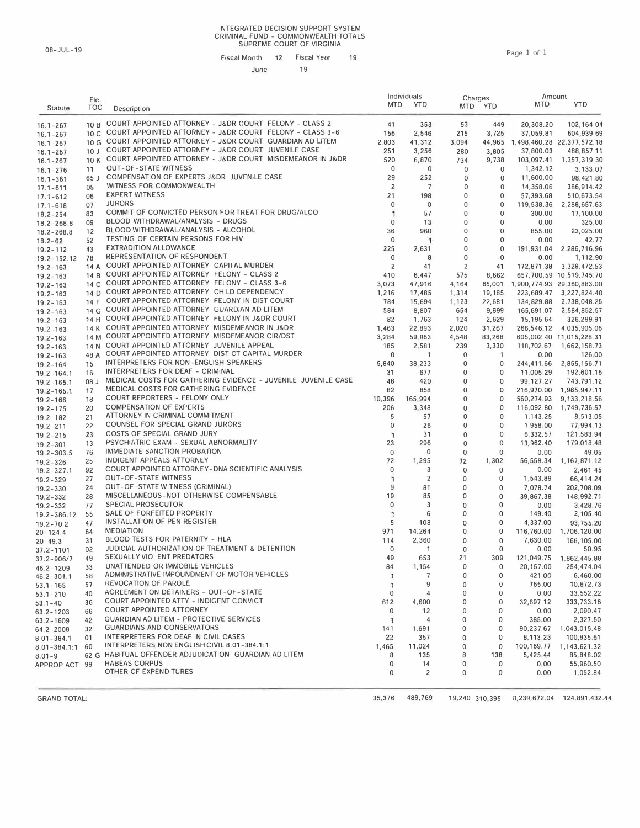## INTEGRATED DECISION SUPPORT SYSTEM CRIMINAL FUND - COMMONWEALTH TOTALS SUPREME COURT OF VIRGINIA

| 08-JUL-19 |                                |  |  |  | Page 1 of 1 |
|-----------|--------------------------------|--|--|--|-------------|
|           | Fiscal Month 12 Fiscal Year 19 |  |  |  |             |

June 19

|                                | Ele.<br>TOC     |                                                                                                   |                             | Individuals<br><b>YTD</b><br><b>MTD</b> |                | Charges<br>MTD YTD |                          | Amount<br><b>YTD</b><br><b>MTD</b> |  |
|--------------------------------|-----------------|---------------------------------------------------------------------------------------------------|-----------------------------|-----------------------------------------|----------------|--------------------|--------------------------|------------------------------------|--|
| <b>Statute</b>                 |                 | Description                                                                                       |                             |                                         |                |                    |                          |                                    |  |
| $16.1 - 267$                   |                 | 10 B COURT APPOINTED ATTORNEY - J&DR COURT FELONY - CLASS 2                                       | 41                          | 353                                     | 53             | 449                | 20,308.20                | 102,164.04                         |  |
| $16.1 - 267$                   | 10 <sub>C</sub> | COURT APPOINTED ATTORNEY - J&DR COURT FELONY - CLASS 3-6                                          | 156                         | 2,546                                   | 215            | 3,725              | 37,059.81                | 604,939.69                         |  |
| $16.1 - 267$                   |                 | 10 G COURT APPOINTED ATTORNEY - J&DR COURT GUARDIAN AD LITEM                                      | 2,803                       | 41,312                                  | 3,094          |                    |                          | 44,965 1,498,460.28 22,377,572.18  |  |
| $16.1 - 267$                   |                 | 10 J COURT APPOINTED ATTORNEY - J&DR COURT JUVENILE CASE                                          | 251                         | 3,256                                   | 280            | 3,805              | 37,800.03                | 488,857.11                         |  |
| $16.1 - 267$                   | 10 K            | COURT APPOINTED ATTORNEY - J&DR COURT MISDEMEANOR IN J&DR                                         | 520                         | 6,870                                   | 734            | 9,738              | 103,097.41               | 1,357,319.30                       |  |
| $16.1 - 276$                   | 11              | <b>OUT-OF-STATE WITNESS</b>                                                                       | $\mathbf{0}$                | $\mathbf 0$                             | $\mathbf 0$    | 0                  | 1,342.12                 | 3,133.07                           |  |
| $16.1 - 361$                   | 65 J            | COMPENSATION OF EXPERTS J&DR JUVENILE CASE                                                        | 29                          | 252                                     | $\mathbf 0$    | 0                  | 11,600.00                | 98,421.80                          |  |
| $17.1 - 611$                   | 05              | WITNESS FOR COMMONWEALTH                                                                          | $\overline{2}$              | $\overline{7}$                          | 0              | 0                  | 14,358.06                | 386,914.42                         |  |
| $17.1 - 612$                   | 06              | <b>EXPERT WITNESS</b><br><b>JURORS</b>                                                            | 21                          | 198                                     | 0              | 0                  | 57.393.68                | 510,673.54                         |  |
| $17.1 - 618$                   | 07              | COMMIT OF CONVICTED PERSON FOR TREAT FOR DRUG/ALCO                                                | $\mathbf 0$<br>$\mathbf{1}$ | $\mathbf 0$<br>57                       | 0              | $\mathbf 0$        | 119,538.36               | 2,288,657.63                       |  |
| $18.2 - 254$                   | 83              | BLOOD WITHDRAWAL/ANALYSIS - DRUGS                                                                 | $\mathbf 0$                 | 13                                      | 0<br>0         | 0<br>0             | 300.00<br>0.00           | 17,100.00<br>325.00                |  |
| $18.2 - 268.8$                 | 09<br>12        | BLOOD WITHDRAWAL/ANALYSIS - ALCOHOL                                                               | 36                          | 960                                     | 0              | 0                  | 855.00                   | 23,025.00                          |  |
| $18.2 - 268.8$<br>$18.2 - 62$  | 52              | TESTING OF CERTAIN PERSONS FOR HIV                                                                | $\mathbf 0$                 | া                                       | 0              | 0                  | 0.00                     | 42.77                              |  |
| $19.2 - 112$                   | 43              | <b>EXTRADITION ALLOWANCE</b>                                                                      | 225                         | 2,631                                   | 0              | 0                  | 191,931.04               | 2,286,716.96                       |  |
| $19.2 - 152.12$                | 78              | REPRESENTATION OF RESPONDENT                                                                      | 0                           | 8                                       | 0              | 0                  | 0.00                     | 1,112.90                           |  |
| $19.2 - 163$                   |                 | 14 A COURT APPOINTED ATTORNEY CAPITAL MURDER                                                      | 2                           | 41                                      | $\overline{c}$ | 41                 | 172,871.38               | 3,329,472.53                       |  |
| $19.2 - 163$                   |                 | 14 B COURT APPOINTED ATTORNEY FELONY - CLASS 2                                                    | 410                         | 6,447                                   | 575            | 8,662              |                          | 657,700.59 10,519,745.70           |  |
| $19.2 - 163$                   | 14 C            | COURT APPOINTED ATTORNEY FELONY - CLASS 3-6                                                       | 3,073                       | 47,916                                  | 4,164          | 65,001             |                          | 1,900,774.93 29,360,883.00         |  |
| $19.2 - 163$                   |                 | 14 D COURT APPOINTED ATTORNEY CHILD DEPENDENCY                                                    | 1,216                       | 17,485                                  | 1,314          | 19,185             |                          | 223,689.47 3,227,824.40            |  |
| $19.2 - 163$                   |                 | 14 F COURT APPOINTED ATTORNEY FELONY IN DIST COURT                                                | 784                         | 15,694                                  | 1,123          | 22,681             |                          | 134,829.88 2,738,048.25            |  |
| $19.2 - 163$                   | 14 G            | COURT APPOINTED ATTORNEY GUARDIAN AD LITEM                                                        | 584                         | 8,807                                   | 654            | 9,899              |                          | 165,691.07 2,584,852.57            |  |
| $19.2 - 163$                   |                 | 14 H COURT APPOINTED ATTORNEY FELONY IN J&DR COURT                                                | 82                          | 1,763                                   | 124            | 2,629              | 15,195.64                | 326,299.91                         |  |
| $19.2 - 163$                   | 14 K            | COURT APPOINTED ATTORNEY MISDEMEANOR IN J&DR                                                      | 1,463                       | 22,893                                  | 2,020          | 31,267             |                          | 266,546.12 4,035,905.06            |  |
| $19.2 - 163$                   |                 | 14 M COURT APPOINTED ATTORNEY MISDEMEANOR CIR/DST                                                 | 3,284                       | 59,863                                  | 4,548          | 83,268             |                          | 605,002.40 11,015,228.31           |  |
| $19.2 - 163$                   |                 | 14 N COURT APPOINTED ATTORNEY JUVENILE APPEAL                                                     | 185                         | 2,581                                   | 239            | 3,330              | 118,702.67               | 1,662,158.73                       |  |
| $19.2 - 163$                   |                 | 48 A COURT APPOINTED ATTORNEY DIST CT CAPITAL MURDER                                              | 0                           | $\mathbf{1}$                            | 0              | $\mathbf{1}$       | 0.00                     | 126,00                             |  |
| $19.2 - 164$                   | 15              | INTERPRETERS FOR NON-ENGLISH SPEAKERS                                                             | 5,840                       | 38,233                                  | 0              | 0                  | 244,411.66               | 2,855,156.71                       |  |
| $19.2 - 164.1$                 | 16              | INTERPRETERS FOR DEAF - CRIMINAL<br>MEDICAL COSTS FOR GATHERING EVIDENCE - JUVENILE JUVENILE CASE | 31                          | 677                                     | $\mathbf 0$    | $\mathbf 0$        | 11,005.29                | 192,601.16                         |  |
| $19.2 - 165.1$                 | 08 J            | MEDICAL COSTS FOR GATHERING EVIDENCE                                                              | 48                          | 420                                     | 0              | 0                  | 99,127.27                | 743,791.12                         |  |
| $19.2 - 165.1$                 | 17              | COURT REPORTERS - FELONY ONLY                                                                     | 82                          | 858                                     | 0              | 0                  | 216,970.00               | 1,985,947.11                       |  |
| $19.2 - 166$                   | 18<br>20        | <b>COMPENSATION OF EXPERTS</b>                                                                    | 10,396<br>206               | 165,994<br>3,348                        | 0<br>0         | $\mathbf 0$<br>0   | 560,274.93<br>116,092.80 | 9,133,218.56<br>1,749,736.57       |  |
| $19.2 - 175$                   | 21              | ATTORNEY IN CRIMINAL COMMITMENT                                                                   | 5                           | 57                                      | 0              | $\mathbf 0$        | 1,143.25                 | 8,513.05                           |  |
| $19.2 - 182$<br>$19.2 - 211$   | 22              | COUNSEL FOR SPECIAL GRAND JURORS                                                                  | $\mathbf 0$                 | 26                                      | $\mathbf 0$    | 0                  | 1,958.00                 | 77,994.13                          |  |
| $19.2 - 215$                   | 23              | COSTS OF SPECIAL GRAND JURY                                                                       | 1                           | 31                                      | 0              | $\mathbf 0$        | 6,332.57                 | 121,583.94                         |  |
| $19.2 - 301$                   | 13              | PSYCHIATRIC EXAM - SEXUAL ABNORMALITY                                                             | 23                          | 296                                     | 0              | $\mathbf 0$        | 13,962.40                | 179,018.48                         |  |
| $19.2 - 303.5$                 | 76              | <b>IMMEDIATE SANCTION PROBATION</b>                                                               | $\mathbf 0$                 | $\mathbf 0$                             | 0              | 0                  | 0.00                     | 49.05                              |  |
| $19.2 - 326$                   | 25              | INDIGENT APPEALS ATTORNEY                                                                         | 72                          | 1,295                                   | 72             | 1,302              | 56,558.34                | 1, 167, 871.12                     |  |
| $19.2 - 327.1$                 | 92              | COURT APPOINTED ATTORNEY-DNA SCIENTIFIC ANALYSIS                                                  | $\mathbf 0$                 | 3                                       | 0              | 0                  | 0.00                     | 2,461.45                           |  |
| $19.2 - 329$                   | 27              | <b>OUT-OF-STATE WITNESS</b>                                                                       | $\mathbf{1}$                | $\overline{2}$                          | 0              | 0                  | 1,543.89                 | 66,414.24                          |  |
| $19.2 - 330$                   | 24              | OUT-OF-STATE WITNESS (CRIMINAL)                                                                   | 9                           | 81                                      | 0              | 0                  | 7,078.74                 | 202,708.09                         |  |
| $19.2 - 332$                   | 28              | MISCELLANEOUS-NOT OTHERWISE COMPENSABLE                                                           | 19                          | 85                                      | 0              | 0                  | 39,867.38                | 148,992.71                         |  |
| $19.2 - 332$                   | 77              | <b>SPECIAL PROSECUTOR</b>                                                                         | 0                           | 3                                       | 0              | $\mathbf 0$        | 0.00                     | 3,428.76                           |  |
| 19.2-386.12                    | 55              | SALE OF FORFEITED PROPERTY                                                                        | $\mathbf{1}$                | 6                                       | 0              | 0                  | 149.40                   | 2,105.40                           |  |
| $19.2 - 70.2$                  | 47              | INSTALLATION OF PEN REGISTER                                                                      | 5                           | 108                                     | 0              | $\mathbf 0$        | 4,337.00                 | 93,755.20                          |  |
| $20 - 124.4$                   | 64              | <b>MEDIATION</b><br>BLOOD TESTS FOR PATERNITY - HLA                                               | 971                         | 14,264                                  | 0              | 0                  | 116,760.00               | 1,706,120.00                       |  |
| $20 - 49.3$                    | 31              | JUDICIAL AUTHORIZATION OF TREATMENT & DETENTION                                                   | 114                         | 2,360                                   | 0              | $\mathbf{0}$       | 7,630.00                 | 166,105.00                         |  |
| $37.2 - 1101$                  | 02              | SEXUALLY VIOLENT PREDATORS                                                                        | 0<br>49                     | $\mathbf{1}$<br>653                     | 0<br>21        | $\mathbf 0$<br>309 | 0.00                     | 50.95                              |  |
| 37.2-906/7                     | 49<br>33        | UNATTENDED OR IMMOBILE VEHICLES                                                                   | 84                          | 1,154                                   | 0              | 0                  | 121,049.75<br>20,157.00  | 1,862,445.88<br>254,474.04         |  |
| $46.2 - 1209$                  | 58              | ADMINISTRATIVE IMPOUNDMENT OF MOTOR VEHICLES                                                      | $\overline{1}$              | 7                                       | 0              | 0                  | 421.00                   | 6,460.00                           |  |
| $46.2 - 301.1$<br>$53.1 - 165$ | 57              | <b>REVOCATION OF PAROLE</b>                                                                       | 1                           | 9                                       | 0              | 0                  | 765.00                   | 10,872.73                          |  |
| $53.1 - 210$                   | 40              | AGREEMENT ON DETAINERS - OUT-OF-STATE                                                             | 0                           | $\overline{4}$                          | 0              | 0                  | 0.00                     | 33,552.22                          |  |
| $53.1 - 40$                    | 36              | <b>COURT APPOINTED ATTY - INDIGENT CONVICT</b>                                                    | 612                         | 4,600                                   | 0              | 0                  | 32,697.12                | 333,733.16                         |  |
| 63.2-1203                      | 66              | COURT APPOINTED ATTORNEY                                                                          | 0                           | 12                                      | 0              | 0                  | 0.00                     | 2,090.47                           |  |
| $63.2 - 1609$                  | 42              | <b>GUARDIAN AD LITEM - PROTECTIVE SERVICES</b>                                                    | $\mathbf{1}$                | 4                                       | 0              | $\bf 0$            | 385.00                   | 2,327.50                           |  |
| $64.2 - 2008$                  | 32              | <b>GUARDIANS AND CONSERVATORS</b>                                                                 | 141                         | 1,691                                   | 0              | 0                  | 90,237.67                | 1,043,015.48                       |  |
| $8.01 - 384.1$                 | 01              | INTERPRETERS FOR DEAF IN CIVIL CASES                                                              | 22                          | 357                                     | $\mathbf 0$    | $\mathbf 0$        | 8,113.23                 | 100,835.61                         |  |
| $8.01 - 384.1:1$               | 60              | INTERPRETERS NON ENGLISH CIVIL 8.01-384.1:1                                                       | 1,465                       | 11,024                                  | 0              | 0                  | 100,169.77               | 1,143,621.32                       |  |
| $8.01 - 9$                     |                 | 62 G HABITUAL OFFENDER ADJUDICATION GUARDIAN AD LITEM                                             | 8                           | 135                                     | 8              | 138                | 5,425.44                 | 85,848.02                          |  |
| APPROP ACT 99                  |                 | <b>HABEAS CORPUS</b>                                                                              | 0                           | 14                                      | 0              | 0                  | 0.00                     | 55,960.50                          |  |
|                                |                 | OTHER CF EXPENDITURES                                                                             | 0                           | $\overline{\mathbf{c}}$                 | 0              | $\mathbf 0$        | 0.00                     | 1,052.84                           |  |
|                                |                 |                                                                                                   |                             |                                         |                |                    |                          |                                    |  |

GRAND TOTAL: 35,376 489,769 19,240 310,395 8,239,672.04 124,891,432.44